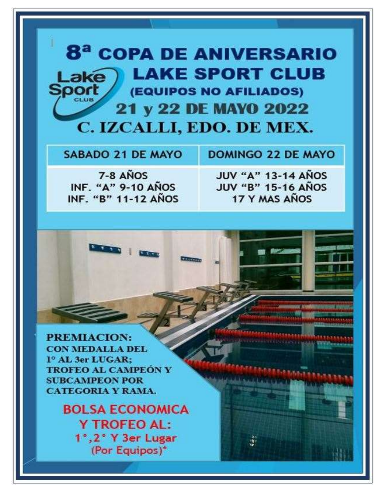## **8<sup>ª</sup> COPA DE ANIVERSARIO LAKE SPORT CLUB** Lake **Sport (EQUIPOS NO AFILIADOS) 21 y 22 DE MAYO 2022** C. IZCALLI, EDO. DE MEX.

**SABADO 21 DE MAYO** 

**DOMINGO 22 DE MAYO** 

7-8 AÑOS INF. "A" 9-10 ANOS INF. "B" 11-12 ANOS

**CARL DES** 

**JUV "A" 13-14 AÑOS JUV "B" 15-16 AÑOS** 17 Y MAS AÑOS

PREMIACION: **CON MEDALLA DEL** 1º AL 3er LUGAR: **TROFEO AL CAMPEON Y SUBCAMPEON POR CATEGORIA Y RAMA.** 

> **BOLSA ECONOMICA Y TROFEO AL:** 1°, 2° Y 3er Lugar (Por Equipos)\*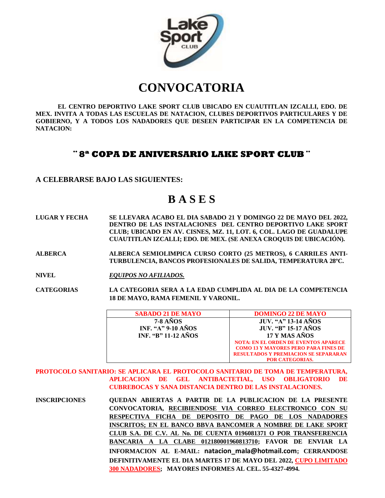

# **CONVOCATORIA**

**EL CENTRO DEPORTIVO LAKE SPORT CLUB UBICADO EN CUAUTITLAN IZCALLI, EDO. DE MEX. INVITA A TODAS LAS ESCUELAS DE NATACION, CLUBES DEPORTIVOS PARTICULARES Y DE GOBIERNO, Y A TODOS LOS NADADORES QUE DESEEN PARTICIPAR EN LA COMPETENCIA DE NATACION:** 

#### **¨ 8ª COPA DE ANIVERSARIO LAKE SPORT CLUB ¨**

#### **A CELEBRARSE BAJO LAS SIGUIENTES:**

### **B A S E S**

**LUGAR Y FECHA SE LLEVARA ACABO EL DIA SABADO 21 Y DOMINGO 22 DE MAYO DEL 2022, DENTRO DE LAS INSTALACIONES DEL CENTRO DEPORTIVO LAKE SPORT CLUB; UBICADO EN AV. CISNES, MZ. 11, LOT. 6, COL. LAGO DE GUADALUPE CUAUTITLAN IZCALLI; EDO. DE MEX. (SE ANEXA CROQUIS DE UBICACIÓN).**

**ALBERCA ALBERCA SEMIOLIMPICA CURSO CORTO (25 METROS), 6 CARRILES ANTI-TURBULENCIA, BANCOS PROFESIONALES DE SALIDA, TEMPERATURA 28ºC.** 

**NIVEL** *EQUIPOS NO AFILIADOS.*

**CATEGORIAS LA CATEGORIA SERA A LA EDAD CUMPLIDA AL DIA DE LA COMPETENCIA 18 DE MAYO, RAMA FEMENIL Y VARONIL.**

| <b>SABADO 21 DE MAYO</b>   | <b>DOMINGO 22 DE MAYO</b>                   |
|----------------------------|---------------------------------------------|
| <b>7-8 AÑOS</b>            | <b>JUV. "A" 13-14 AÑOS</b>                  |
| <b>INF. "A" 9-10 AÑOS</b>  | <b>JUV. "B" 15-17 AÑOS</b>                  |
| <b>INF. "B" 11-12 AÑOS</b> | 17 Y MAS AÑOS                               |
|                            | <b>NOTA: EN EL ORDEN DE EVENTOS APARECE</b> |
|                            | <b>COMO 13 Y MAYORES PERO PARA FINES DE</b> |
|                            | <b>RESULTADOS Y PREMIACION SE SEPARARAN</b> |
|                            | <b>POR CATEGORIAS.</b>                      |

**PROTOCOLO SANITARIO: SE APLICARA EL PROTOCOLO SANITARIO DE TOMA DE TEMPERATURA, APLICACION DE GEL ANTIBACTETIAL, USO OBLIGATORIO DE CUBREBOCAS Y SANA DISTANCIA DENTRO DE LAS INSTALACIONES.**

**INSCRIPCIONES QUEDAN ABIERTAS A PARTIR DE LA PUBLICACION DE LA PRESENTE CONVOCATORIA, RECIBIENDOSE VIA CORREO ELECTRONICO CON SU RESPECTIVA FICHA DE DEPOSITO DE PAGO DE LOS NADADORES INSCRITOS; EN EL BANCO BBVA BANCOMER A NOMBRE DE LAKE SPORT CLUB S.A. DE C.V. AL No. DE CUENTA 0196081371 O POR TRANSFERENCIA BANCARIA A LA CLABE 012180001960813710; FAVOR DE ENVIAR LA INFORMACION AL E-MAIL: natacion\_mala@hotmail.com; CERRANDOSE DEFINITIVAMENTE EL DIA MARTES 17 DE MAYO DEL 2022, CUPO LIMITADO 300 NADADORES; MAYORES INFORMES AL CEL. 55-4327-4994.**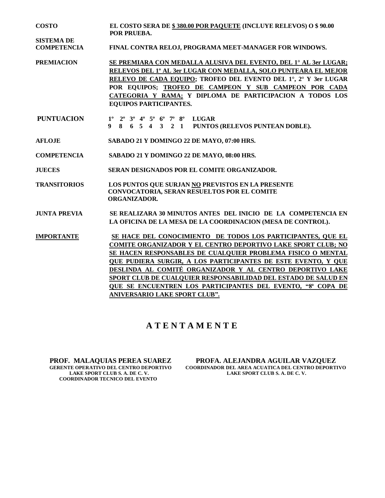**COSTO EL COSTO SERA DE \$ 380.00 POR PAQUETE (INCLUYE RELEVOS) O \$ 90.00 POR PRUEBA.**

**COMPETENCIA FINAL CONTRA RELOJ, PROGRAMA MEET-MANAGER FOR WINDOWS.** 

- **PREMIACION SE PREMIARA CON MEDALLA ALUSIVA DEL EVENTO, DEL 1° AL 3er LUGAR; RELEVOS DEL 1º AL 3er LUGAR CON MEDALLA, SOLO PUNTEARA EL MEJOR RELEVO DE CADA EQUIPO; TROFEO DEL EVENTO DEL 1°, 2° Y 3er LUGAR POR EQUIPOS; TROFEO DE CAMPEON Y SUB CAMPEON POR CADA CATEGORIA Y RAMA; Y DIPLOMA DE PARTICIPACION A TODOS LOS EQUIPOS PARTICIPANTES.**
- **PUNTUACION 1º 2º 3º 4º 5º 6º 7º 8º LUGAR 9 8 6 5 4 3 2 1 PUNTOS (RELEVOS PUNTEAN DOBLE).**
- **AFLOJE SABADO 21 Y DOMINGO 22 DE MAYO, 07:00 HRS.**

**SISTEMA DE** 

**COMPETENCIA SABADO 21 Y DOMINGO 22 DE MAYO, 08:00 HRS.**

**JUECES SERAN DESIGNADOS POR EL COMITE ORGANIZADOR.**

- **TRANSITORIOS LOS PUNTOS QUE SURJAN NO PREVISTOS EN LA PRESENTE CONVOCATORIA, SERAN RESUELTOS POR EL COMITE ORGANIZADOR.**
- **JUNTA PREVIA SE REALIZARA 30 MINUTOS ANTES DEL INICIO DE LA COMPETENCIA EN LA OFICINA DE LA MESA DE LA COORDINACION (MESA DE CONTROL).**
- **IMPORTANTE SE HACE DEL CONOCIMIENTO DE TODOS LOS PARTICIPANTES, QUE EL COMITE ORGANIZADOR Y EL CENTRO DEPORTIVO LAKE SPORT CLUB; NO SE HACEN RESPONSABLES DE CUALQUIER PROBLEMA FISICO O MENTAL QUE PUDIERA SURGIR, A LOS PARTICIPANTES DE ESTE EVENTO, Y QUE DESLINDA AL COMITÉ ORGANIZADOR Y AL CENTRO DEPORTIVO LAKE SPORT CLUB DE CUALQUIER RESPONSABILIDAD DEL ESTADO DE SALUD EN QUE SE ENCUENTREN LOS PARTICIPANTES DEL EVENTO, "8ª COPA DE ANIVERSARIO LAKE SPORT CLUB".**

#### **A T E N T A M E N T E**

 **LAKE SPORT CLUB S. A. DE C. V. LAKE SPORT CLUB S. A. DE C. V. COORDINADOR TECNICO DEL EVENTO**

 **PROF. MALAQUIAS PEREA SUAREZ PROFA. ALEJANDRA AGUILAR VAZQUEZ COORDINADOR DEL AREA ACUATICA DEL CENTRO DEPORTIVO LAKE SPORT CLUB S. A. DE C. V.**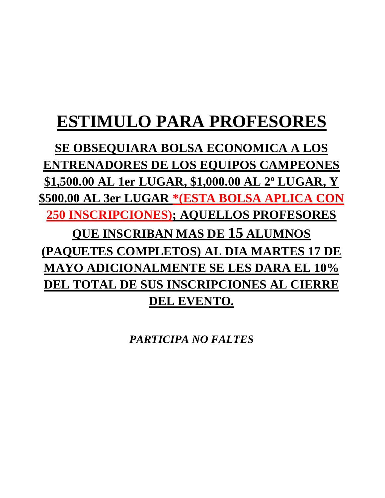# **ESTIMULO PARA PROFESORES**

**SE OBSEQUIARA BOLSA ECONOMICA A LOS ENTRENADORES DE LOS EQUIPOS CAMPEONES \$1,500.00 AL 1er LUGAR, \$1,000.00 AL 2º LUGAR, Y \$500.00 AL 3er LUGAR \*(ESTA BOLSA APLICA CON 250 INSCRIPCIONES); AQUELLOS PROFESORES QUE INSCRIBAN MAS DE 15 ALUMNOS (PAQUETES COMPLETOS) AL DIA MARTES 17 DE MAYO ADICIONALMENTE SE LES DARA EL 10% DEL TOTAL DE SUS INSCRIPCIONES AL CIERRE DEL EVENTO.**

*PARTICIPA NO FALTES*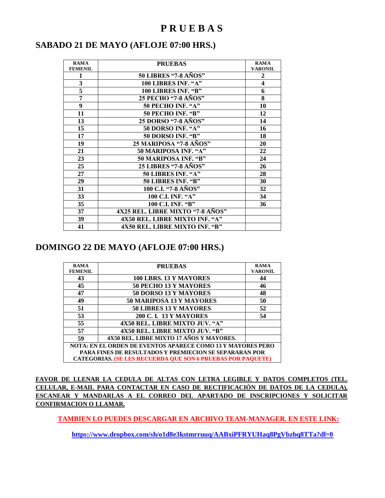#### **P R U E B A S**

#### **SABADO 21 DE MAYO (AFLOJE 07:00 HRS.)**

| <b>RAMA</b>    | <b>PRUEBAS</b>                   | <b>RAMA</b>             |
|----------------|----------------------------------|-------------------------|
| <b>FEMENIL</b> |                                  | <b>VARONIL</b>          |
| 1              | <b>50 LIBRES "7-8 AÑOS"</b>      | $\boldsymbol{2}$        |
| 3              | 100 LIBRES INF. "A"              | $\overline{\mathbf{4}}$ |
| 5              | 100 LIBRES INF. "B"              | 6                       |
| $\overline{7}$ | 25 PECHO "7-8 AÑOS"              | 8                       |
| $\overline{9}$ | 50 PECHO INF. "A"                | 10                      |
| 11             | 50 PECHO INF. "B"                | 12                      |
| 13             | 25 DORSO "7-8 AÑOS"              | 14                      |
| 15             | 50 DORSO INF. "A"                | 16                      |
| 17             | 50 DORSO INF. "B"                | 18                      |
| 19             | 25 MARIPOSA "7-8 AÑOS"           | 20                      |
| 21             | 50 MARIPOSA INF. "A"             | 22                      |
| 23             | 50 MARIPOSA INF. "B"             | 24                      |
| 25             | 25 LIBRES "7-8 AÑOS"             | 26                      |
| 27             | 50 LIBRES INF. "A"               | 28                      |
| 29             | 50 LIBRES INF. "B"               | 30                      |
| 31             | 100 C.I. "7-8 AÑOS"              | 32                      |
| 33             | 100 C.I. INF. "A"                | 34                      |
| 35             | 100 C.I. INF. "B"                | 36                      |
| 37             | 4X25 REL. LIBRE MIXTO "7-8 AÑOS" |                         |
| 39             | 4X50 REL. LIBRE MIXTO INF. "A"   |                         |
| 41             | 4X50 REL. LIBRE MIXTO INF. "B"   |                         |

#### **DOMINGO 22 DE MAYO (AFLOJE 07:00 HRS.)**

| <b>RAMA</b>                                                        | <b>PRUEBAS</b>                                                     | <b>RAMA</b>    |  |  |  |  |  |
|--------------------------------------------------------------------|--------------------------------------------------------------------|----------------|--|--|--|--|--|
| <b>FEMENIL</b>                                                     |                                                                    | <b>VARONIL</b> |  |  |  |  |  |
| 43                                                                 | 100 LBRS. 13 Y MAYORES                                             | 44             |  |  |  |  |  |
| 45                                                                 | 50 PECHO 13 Y MAYORES                                              | 46             |  |  |  |  |  |
| 47                                                                 | 50 DORSO 13 Y MAYORES                                              | 48             |  |  |  |  |  |
| 49                                                                 | 50 MARIPOSA 13 Y MAYORES                                           | 50             |  |  |  |  |  |
| 51                                                                 | <b>50 LIBRES 13 Y MAYORES</b>                                      | 52             |  |  |  |  |  |
| 53                                                                 | <b>200 C. I. 13 Y MAYORES</b>                                      | 54             |  |  |  |  |  |
| 55                                                                 | 4X50 REL. LIBRE MIXTO JUV. "A"                                     |                |  |  |  |  |  |
| 57                                                                 | 4X50 REL. LIBRE MIXTO JUV. "B"                                     |                |  |  |  |  |  |
| 59                                                                 | 4X50 REL. LIBRE MIXTO 17 AÑOS Y MAYORES.                           |                |  |  |  |  |  |
| <b>NOTA: EN EL ORDEN DE EVENTOS APARECE COMO 13 Y MAYORES PERO</b> |                                                                    |                |  |  |  |  |  |
| <b>PARA FINES DE RESULTADOS Y PREMIECION SE SEPARARAN POR</b>      |                                                                    |                |  |  |  |  |  |
|                                                                    | <b>CATEGORIAS. (SE LES RECUERDA QUE SON 6 PRUEBAS POR PAQUETE)</b> |                |  |  |  |  |  |

**FAVOR DE LLENAR LA CEDULA DE ALTAS CON LETRA LEGIBLE Y DATOS COMPLETOS (TEL. CELULAR, E-MAIL PARA CONTACTAR EN CASO DE RECTIFICACIÓN DE DATOS DE LA CEDULA), ESCANEAR Y MANDARLAS A EL CORREO DEL APARTADO DE INSCRIPCIONES Y SOLICITAR CONFIRMACION O LLAMAR.**

**TAMBIEN LO PUEDES DESCARGAR EN ARCHIVO TEAM-MANAGER. EN ESTE LINK:**

**<https://www.dropbox.com/sh/o1d8e3kstmrruuq/AABxiPFRYUHaq8PgVbzbq8TTa?dl=0>**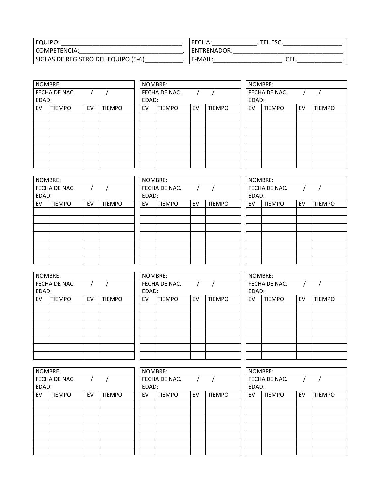| EQUIPO.                             |                    | LL.LJU. |  |
|-------------------------------------|--------------------|---------|--|
| l COMPETENCIA:                      | <b>ENTRENADOR:</b> |         |  |
| SIGLAS DE REGISTRO DEL EQUIPO (5-6) | E-MAIL:            | CEL.    |  |

| NOMBRE: |               |    |               |  |  |  |  |  |  |  |
|---------|---------------|----|---------------|--|--|--|--|--|--|--|
|         | FECHA DE NAC. |    |               |  |  |  |  |  |  |  |
| EDAD:   |               |    |               |  |  |  |  |  |  |  |
| EV      | <b>TIEMPO</b> | EV | <b>TIEMPO</b> |  |  |  |  |  |  |  |
|         |               |    |               |  |  |  |  |  |  |  |
|         |               |    |               |  |  |  |  |  |  |  |
|         |               |    |               |  |  |  |  |  |  |  |
|         |               |    |               |  |  |  |  |  |  |  |
|         |               |    |               |  |  |  |  |  |  |  |
|         |               |    |               |  |  |  |  |  |  |  |
|         |               |    |               |  |  |  |  |  |  |  |

|       | NOMBRE:       |    |               |       | NOMBRE:       |    |               |       | NOMBRE:       |    |               |  |  |
|-------|---------------|----|---------------|-------|---------------|----|---------------|-------|---------------|----|---------------|--|--|
|       | FECHA DE NAC. |    |               |       | FECHA DE NAC. |    |               |       | FECHA DE NAC. |    |               |  |  |
| EDAD: |               |    |               | EDAD: |               |    |               | EDAD: |               |    |               |  |  |
| EV    | <b>TIEMPO</b> | EV | <b>TIEMPO</b> | EV    | <b>TIEMPO</b> | EV | <b>TIEMPO</b> | EV    | <b>TIEMPO</b> | EV | <b>TIEMPO</b> |  |  |
|       |               |    |               |       |               |    |               |       |               |    |               |  |  |
|       |               |    |               |       |               |    |               |       |               |    |               |  |  |
|       |               |    |               |       |               |    |               |       |               |    |               |  |  |
|       |               |    |               |       |               |    |               |       |               |    |               |  |  |
|       |               |    |               |       |               |    |               |       |               |    |               |  |  |
|       |               |    |               |       |               |    |               |       |               |    |               |  |  |
|       |               |    |               |       |               |    |               |       |               |    |               |  |  |
|       |               |    |               |       |               |    |               |       |               |    |               |  |  |

| NOMBRE:       |               |    |               |  |  |  |  |  |  |
|---------------|---------------|----|---------------|--|--|--|--|--|--|
| FECHA DE NAC. |               |    |               |  |  |  |  |  |  |
| EDAD:         |               |    |               |  |  |  |  |  |  |
| EV            | <b>TIEMPO</b> | EV | <b>TIEMPO</b> |  |  |  |  |  |  |
|               |               |    |               |  |  |  |  |  |  |
|               |               |    |               |  |  |  |  |  |  |
|               |               |    |               |  |  |  |  |  |  |
|               |               |    |               |  |  |  |  |  |  |
|               |               |    |               |  |  |  |  |  |  |
|               |               |    |               |  |  |  |  |  |  |
|               |               |    |               |  |  |  |  |  |  |

| NOMBRE:<br>NOMBRE:                                              |
|-----------------------------------------------------------------|
| FECHA DE NAC.<br><b>FECHA DE</b>                                |
| EDAD:<br>EDAD:                                                  |
| <b>TIEMPO</b><br><b>TIEMPO</b><br>EV<br><b>TIEN</b><br>EV<br>EV |
|                                                                 |
|                                                                 |
|                                                                 |
|                                                                 |
|                                                                 |
|                                                                 |
|                                                                 |
|                                                                 |

|       | NOMBRE:       |    |               |       | NOMBRE:       |    |               |       | NOMBRE:       |    |               |
|-------|---------------|----|---------------|-------|---------------|----|---------------|-------|---------------|----|---------------|
|       | FECHA DE NAC. |    |               |       | FECHA DE NAC. |    |               |       | FECHA DE NAC. |    |               |
| EDAD: |               |    |               | EDAD: |               |    |               | EDAD: |               |    |               |
| EV    | <b>TIEMPO</b> | EV | <b>TIEMPO</b> | EV    | <b>TIEMPO</b> | EV | <b>TIEMPO</b> | EV    | <b>TIEMPO</b> | EV | <b>TIEMPO</b> |
|       |               |    |               |       |               |    |               |       |               |    |               |
|       |               |    |               |       |               |    |               |       |               |    |               |
|       |               |    |               |       |               |    |               |       |               |    |               |
|       |               |    |               |       |               |    |               |       |               |    |               |
|       |               |    |               |       |               |    |               |       |               |    |               |
|       |               |    |               |       |               |    |               |       |               |    |               |
|       |               |    |               |       |               |    |               |       |               |    |               |
|       |               |    |               |       |               |    |               |       |               |    |               |

| NOMBRE:       |                        |               |  |  |  |  |  |  |  |
|---------------|------------------------|---------------|--|--|--|--|--|--|--|
|               |                        |               |  |  |  |  |  |  |  |
|               |                        |               |  |  |  |  |  |  |  |
| <b>TIEMPO</b> | EV                     | <b>TIEMPO</b> |  |  |  |  |  |  |  |
|               |                        |               |  |  |  |  |  |  |  |
|               |                        |               |  |  |  |  |  |  |  |
|               |                        |               |  |  |  |  |  |  |  |
|               |                        |               |  |  |  |  |  |  |  |
|               |                        |               |  |  |  |  |  |  |  |
|               |                        |               |  |  |  |  |  |  |  |
|               |                        |               |  |  |  |  |  |  |  |
|               | FECHA DE NAC.<br>EDAD: |               |  |  |  |  |  |  |  |

|       | NOMBRE:       |    |               |       | NOMBRE:       |    |               |       | NOMBRE:       |    |               |
|-------|---------------|----|---------------|-------|---------------|----|---------------|-------|---------------|----|---------------|
|       | FECHA DE NAC. |    |               |       | FECHA DE NAC. |    |               |       | FECHA DE NAC. |    |               |
| EDAD: |               |    |               | EDAD: |               |    |               | EDAD: |               |    |               |
| EV    | <b>TIEMPO</b> | EV | <b>TIEMPO</b> | EV    | <b>TIEMPO</b> | EV | <b>TIEMPO</b> | EV    | <b>TIEMPO</b> | EV | <b>TIEMPO</b> |
|       |               |    |               |       |               |    |               |       |               |    |               |
|       |               |    |               |       |               |    |               |       |               |    |               |
|       |               |    |               |       |               |    |               |       |               |    |               |
|       |               |    |               |       |               |    |               |       |               |    |               |
|       |               |    |               |       |               |    |               |       |               |    |               |
|       |               |    |               |       |               |    |               |       |               |    |               |
|       |               |    |               |       |               |    |               |       |               |    |               |

| NOMBRE: |               |    |               |
|---------|---------------|----|---------------|
|         | FECHA DE NAC. |    |               |
| EDAD:   |               |    |               |
| EV      | <b>TIEMPO</b> | EV | <b>TIEMPO</b> |
|         |               |    |               |
|         |               |    |               |
|         |               |    |               |
|         |               |    |               |
|         |               |    |               |
|         |               |    |               |
|         |               |    |               |

| NOMBRE: |               |    |               |  |  |  |
|---------|---------------|----|---------------|--|--|--|
|         | FECHA DE NAC. |    |               |  |  |  |
|         | EDAD:         |    |               |  |  |  |
| EV      | <b>TIEMPO</b> | EV | <b>TIEMPO</b> |  |  |  |
|         |               |    |               |  |  |  |
|         |               |    |               |  |  |  |
|         |               |    |               |  |  |  |
|         |               |    |               |  |  |  |
|         |               |    |               |  |  |  |
|         |               |    |               |  |  |  |
|         |               |    |               |  |  |  |

| NOMBRE: |               |    |               |  |  |  |
|---------|---------------|----|---------------|--|--|--|
|         | FECHA DE NAC. |    |               |  |  |  |
| EDAD:   |               |    |               |  |  |  |
| EV      | <b>TIEMPO</b> | EV | <b>TIEMPO</b> |  |  |  |
|         |               |    |               |  |  |  |
|         |               |    |               |  |  |  |
|         |               |    |               |  |  |  |
|         |               |    |               |  |  |  |
|         |               |    |               |  |  |  |
|         |               |    |               |  |  |  |
|         |               |    |               |  |  |  |
|         |               |    |               |  |  |  |

|       | NOMBRE:       |    |               |       | NOMBRE:       |    |               |       | NOMBRE:       |    |               |
|-------|---------------|----|---------------|-------|---------------|----|---------------|-------|---------------|----|---------------|
|       | FECHA DE NAC. |    |               |       | FECHA DE NAC. |    |               |       | FECHA DE NAC. |    |               |
| EDAD: |               |    |               | EDAD: |               |    |               | EDAD: |               |    |               |
| EV    | <b>TIEMPO</b> | EV | <b>TIEMPO</b> | EV    | <b>TIEMPO</b> | EV | <b>TIEMPO</b> | EV    | <b>TIEMPO</b> | EV | <b>TIEMPO</b> |
|       |               |    |               |       |               |    |               |       |               |    |               |
|       |               |    |               |       |               |    |               |       |               |    |               |
|       |               |    |               |       |               |    |               |       |               |    |               |
|       |               |    |               |       |               |    |               |       |               |    |               |
|       |               |    |               |       |               |    |               |       |               |    |               |
|       |               |    |               |       |               |    |               |       |               |    |               |
|       |               |    |               |       |               |    |               |       |               |    |               |

| NOMBRE: |               |    |               |  |  |  |
|---------|---------------|----|---------------|--|--|--|
|         | FECHA DE NAC. |    |               |  |  |  |
| EDAD:   |               |    |               |  |  |  |
| EV      | <b>TIEMPO</b> | EV | <b>TIEMPO</b> |  |  |  |
|         |               |    |               |  |  |  |
|         |               |    |               |  |  |  |
|         |               |    |               |  |  |  |
|         |               |    |               |  |  |  |
|         |               |    |               |  |  |  |
|         |               |    |               |  |  |  |
|         |               |    |               |  |  |  |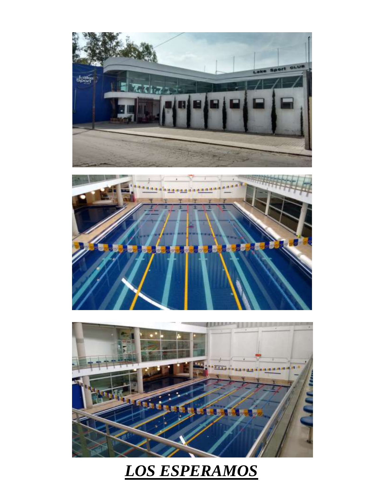





# *LOS ESPERAMOS*